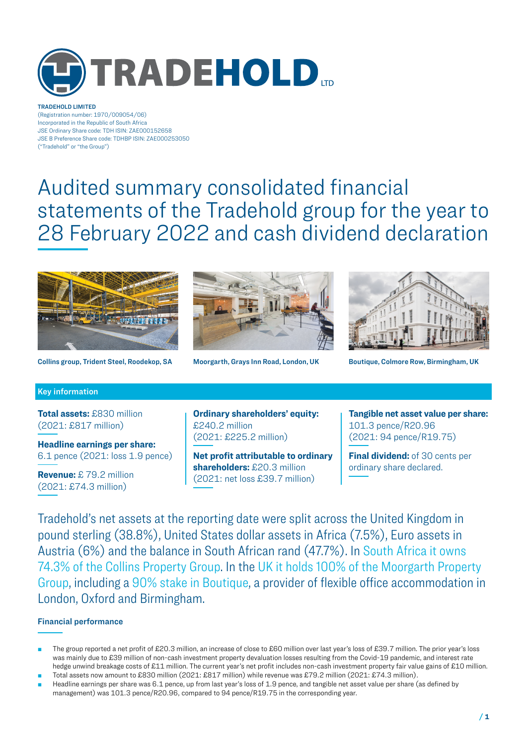

**TRADEHOLD LIMITED** (Registration number: 1970/009054/06) Incorporated in the Republic of South Africa JSE Ordinary Share code: TDH ISIN: ZAE000152658 JSE B Preference Share code: TDHBP ISIN: ZAE000253050 ("Tradehold" or "the Group")

# Audited summary consolidated financial statements of the Tradehold group for the year to 28 February 2022 and cash dividend declaration



**Collins group, Trident Steel, Roodekop, SA Moorgarth, Grays Inn Road, London, UK Boutique, Colmore Row, Birmingham, UK**





# **Key information**

**Total assets:** £830 million (2021: £817 million)

**Headline earnings per share:** 6.1 pence (2021: loss 1.9 pence)

**Revenue:** £ 79.2 million (2021: £74.3 million)

**Ordinary shareholders' equity:**  £240.2 million (2021: £225.2 million)

**Net profit attributable to ordinary shareholders:** £20.3 million (2021: net loss £39.7 million)

**Tangible net asset value per share:** 101.3 pence/R20.96 (2021: 94 pence/R19.75)

**Final dividend:** of 30 cents per ordinary share declared.

Tradehold's net assets at the reporting date were split across the United Kingdom in pound sterling (38.8%), United States dollar assets in Africa (7.5%), Euro assets in Austria (6%) and the balance in South African rand (47.7%). In South Africa it owns 74.3% of the Collins Property Group. In the UK it holds 100% of the Moorgarth Property Group, including a 90% stake in Boutique, a provider of flexible office accommodation in London, Oxford and Birmingham.

# **Financial performance**

- The group reported a net profit of £20.3 million, an increase of close to £60 million over last year's loss of £39.7 million. The prior year's loss was mainly due to £39 million of non-cash investment property devaluation losses resulting from the Covid-19 pandemic, and interest rate hedge unwind breakage costs of £11 million. The current year's net profit includes non-cash investment property fair value gains of £10 million.
- Total assets now amount to £830 million (2021: £817 million) while revenue was £79.2 million (2021: £74.3 million). Headline earnings per share was 6.1 pence, up from last year's loss of 1.9 pence, and tangible net asset value per share (as defined by management) was 101.3 pence/R20.96, compared to 94 pence/R19.75 in the corresponding year.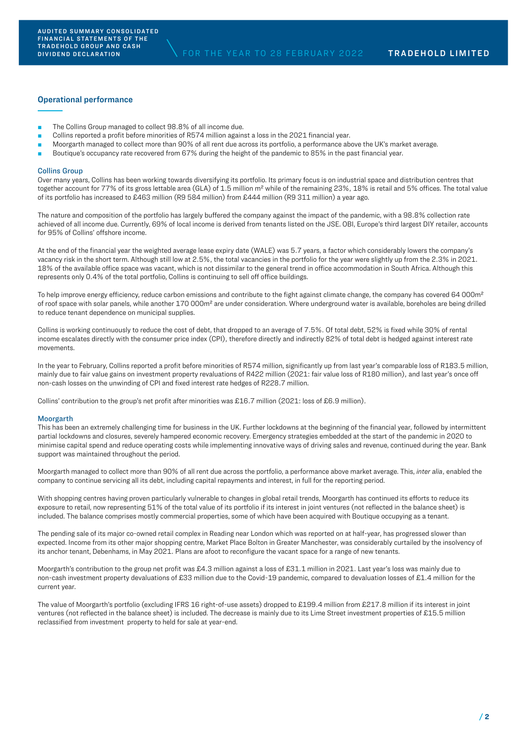#### **Operational performance**

- The Collins Group managed to collect 98.8% of all income due.
- Collins reported a profit before minorities of R574 million against a loss in the 2021 financial year.
- **Moorgarth managed to collect more than 90% of all rent due across its portfolio, a performance above the UK's market average.**
- Boutique's occupancy rate recovered from 67% during the height of the pandemic to 85% in the past financial year.

#### Collins Group

Over many years, Collins has been working towards diversifying its portfolio. Its primary focus is on industrial space and distribution centres that together account for 77% of its gross lettable area (GLA) of 1.5 million m² while of the remaining 23%, 18% is retail and 5% offices. The total value of its portfolio has increased to £463 million (R9 584 million) from £444 million (R9 311 million) a year ago.

The nature and composition of the portfolio has largely buffered the company against the impact of the pandemic, with a 98.8% collection rate achieved of all income due. Currently, 69% of local income is derived from tenants listed on the JSE. OBI, Europe's third largest DIY retailer, accounts for 95% of Collins' offshore income.

At the end of the financial year the weighted average lease expiry date (WALE) was 5.7 years, a factor which considerably lowers the company's vacancy risk in the short term. Although still low at 2.5%, the total vacancies in the portfolio for the year were slightly up from the 2.3% in 2021. 18% of the available office space was vacant, which is not dissimilar to the general trend in office accommodation in South Africa. Although this represents only 0.4% of the total portfolio, Collins is continuing to sell off office buildings.

To help improve energy efficiency, reduce carbon emissions and contribute to the fight against climate change, the company has covered 64 000m<sup>2</sup> of roof space with solar panels, while another 170 000m² are under consideration. Where underground water is available, boreholes are being drilled to reduce tenant dependence on municipal supplies.

Collins is working continuously to reduce the cost of debt, that dropped to an average of 7.5%. Of total debt, 52% is fixed while 30% of rental income escalates directly with the consumer price index (CPI), therefore directly and indirectly 82% of total debt is hedged against interest rate movements.

In the year to February, Collins reported a profit before minorities of R574 million, significantly up from last year's comparable loss of R183.5 million, mainly due to fair value gains on investment property revaluations of R422 million (2021: fair value loss of R180 million), and last year's once off non-cash losses on the unwinding of CPI and fixed interest rate hedges of R228.7 million.

Collins' contribution to the group's net profit after minorities was £16.7 million (2021: loss of £6.9 million).

#### Moorgarth

This has been an extremely challenging time for business in the UK. Further lockdowns at the beginning of the financial year, followed by intermittent partial lockdowns and closures, severely hampered economic recovery. Emergency strategies embedded at the start of the pandemic in 2020 to minimise capital spend and reduce operating costs while implementing innovative ways of driving sales and revenue, continued during the year. Bank support was maintained throughout the period.

Moorgarth managed to collect more than 90% of all rent due across the portfolio, a performance above market average. This, *inter alia*, enabled the company to continue servicing all its debt, including capital repayments and interest, in full for the reporting period.

With shopping centres having proven particularly vulnerable to changes in global retail trends, Moorgarth has continued its efforts to reduce its exposure to retail, now representing 51% of the total value of its portfolio if its interest in joint ventures (not reflected in the balance sheet) is included. The balance comprises mostly commercial properties, some of which have been acquired with Boutique occupying as a tenant.

The pending sale of its major co-owned retail complex in Reading near London which was reported on at half-year, has progressed slower than expected. Income from its other major shopping centre, Market Place Bolton in Greater Manchester, was considerably curtailed by the insolvency of its anchor tenant, Debenhams, in May 2021. Plans are afoot to reconfigure the vacant space for a range of new tenants.

Moorgarth's contribution to the group net profit was £4.3 million against a loss of £31.1 million in 2021. Last year's loss was mainly due to non-cash investment property devaluations of £33 million due to the Covid-19 pandemic, compared to devaluation losses of £1.4 million for the current year.

The value of Moorgarth's portfolio (excluding IFRS 16 right-of-use assets) dropped to £199.4 million from £217.8 million if its interest in joint ventures (not reflected in the balance sheet) is included. The decrease is mainly due to its Lime Street investment properties of £15.5 million reclassified from investment property to held for sale at year-end.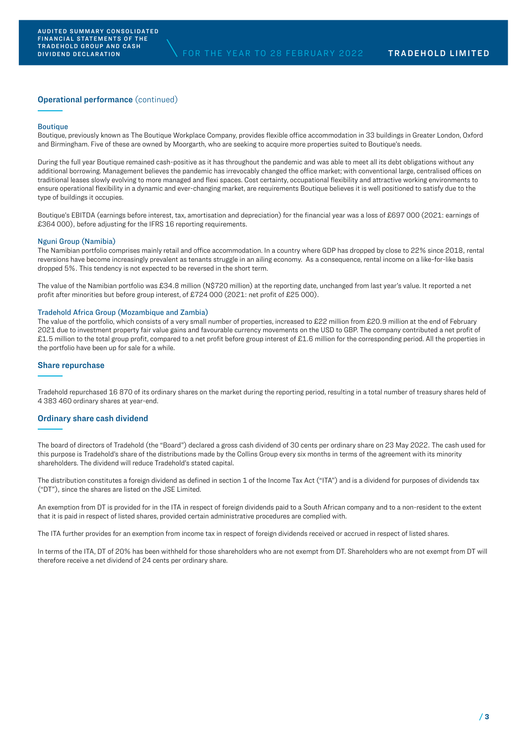#### **Operational performance** (continued)

#### Boutique

Boutique, previously known as The Boutique Workplace Company, provides flexible office accommodation in 33 buildings in Greater London, Oxford and Birmingham. Five of these are owned by Moorgarth, who are seeking to acquire more properties suited to Boutique's needs.

During the full year Boutique remained cash-positive as it has throughout the pandemic and was able to meet all its debt obligations without any additional borrowing. Management believes the pandemic has irrevocably changed the office market; with conventional large, centralised offices on traditional leases slowly evolving to more managed and flexi spaces. Cost certainty, occupational flexibility and attractive working environments to ensure operational flexibility in a dynamic and ever-changing market, are requirements Boutique believes it is well positioned to satisfy due to the type of buildings it occupies.

Boutique's EBITDA (earnings before interest, tax, amortisation and depreciation) for the financial year was a loss of £697 000 (2021: earnings of £364 000), before adjusting for the IFRS 16 reporting requirements.

#### Nguni Group (Namibia)

The Namibian portfolio comprises mainly retail and office accommodation. In a country where GDP has dropped by close to 22% since 2018, rental reversions have become increasingly prevalent as tenants struggle in an ailing economy. As a consequence, rental income on a like-for-like basis dropped 5%. This tendency is not expected to be reversed in the short term.

The value of the Namibian portfolio was £34.8 million (N\$720 million) at the reporting date, unchanged from last year's value. It reported a net profit after minorities but before group interest, of £724 000 (2021: net profit of £25 000).

#### Tradehold Africa Group (Mozambique and Zambia)

The value of the portfolio, which consists of a very small number of properties, increased to £22 million from £20.9 million at the end of February 2021 due to investment property fair value gains and favourable currency movements on the USD to GBP. The company contributed a net profit of £1.5 million to the total group profit, compared to a net profit before group interest of £1.6 million for the corresponding period. All the properties in the portfolio have been up for sale for a while.

### **Share repurchase**

Tradehold repurchased 16 870 of its ordinary shares on the market during the reporting period, resulting in a total number of treasury shares held of 4 383 460 ordinary shares at year-end.

#### **Ordinary share cash dividend**

The board of directors of Tradehold (the "Board") declared a gross cash dividend of 30 cents per ordinary share on 23 May 2022. The cash used for this purpose is Tradehold's share of the distributions made by the Collins Group every six months in terms of the agreement with its minority shareholders. The dividend will reduce Tradehold's stated capital.

The distribution constitutes a foreign dividend as defined in section 1 of the Income Tax Act ("ITA") and is a dividend for purposes of dividends tax ("DT"), since the shares are listed on the JSE Limited.

An exemption from DT is provided for in the ITA in respect of foreign dividends paid to a South African company and to a non-resident to the extent that it is paid in respect of listed shares, provided certain administrative procedures are complied with.

The ITA further provides for an exemption from income tax in respect of foreign dividends received or accrued in respect of listed shares.

In terms of the ITA, DT of 20% has been withheld for those shareholders who are not exempt from DT. Shareholders who are not exempt from DT will therefore receive a net dividend of 24 cents per ordinary share.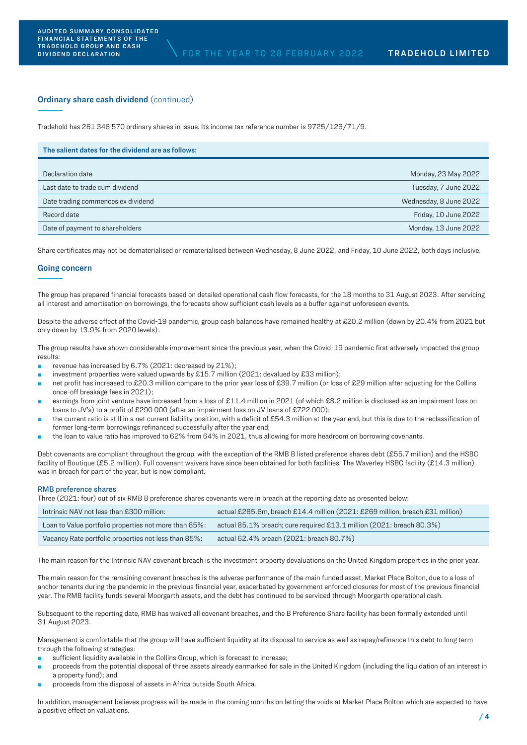#### **Ordinary share cash dividend** (continued)

Tradehold has 261 346 570 ordinary shares in issue. Its income tax reference number is 9725/126/71/9.

| The salient dates for the dividend are as follows: |                        |
|----------------------------------------------------|------------------------|
|                                                    |                        |
| Declaration date                                   | Monday, 23 May 2022    |
| Last date to trade cum dividend                    | Tuesday, 7 June 2022   |
| Date trading commences ex dividend                 | Wednesday, 8 June 2022 |
| Record date                                        | Friday, 10 June 2022   |
| Date of payment to shareholders                    | Monday, 13 June 2022   |

Share certificates may not be dematerialised or rematerialised between Wednesday, 8 June 2022, and Friday, 10 June 2022, both days inclusive.

# **Going concern**

The group has prepared financial forecasts based on detailed operational cash flow forecasts, for the 18 months to 31 August 2023. After servicing all interest and amortisation on borrowings, the forecasts show sufficient cash levels as a buffer against unforeseen events.

Despite the adverse effect of the Covid-19 pandemic, group cash balances have remained healthy at £20.2 million (down by 20.4% from 2021 but only down by 13.9% from 2020 levels).

The group results have shown considerable improvement since the previous year, when the Covid-19 pandemic first adversely impacted the group results:

- revenue has increased by 6.7% (2021: decreased by 21%);
- investment properties were valued upwards by £15.7 million (2021: devalued by £33 million);
- net profit has increased to £20.3 million compare to the prior year loss of £39.7 million (or loss of £29 million after adjusting for the Collins once-off breakage fees in 2021);
- earnings from joint venture have increased from a loss of £11.4 million in 2021 (of which £8.2 million is disclosed as an impairment loss on loans to JV's) to a profit of £290 000 (after an impairment loss on JV loans of £722 000);
- the current ratio is still in a net current liability position, with a deficit of £54.3 million at the year end, but this is due to the reclassification of former long-term borrowings refinanced successfully after the year end;
- the loan to value ratio has improved to 62% from 64% in 2021, thus allowing for more headroom on borrowing covenants.

Debt covenants are compliant throughout the group, with the exception of the RMB B listed preference shares debt (£55.7 million) and the HSBC facility of Boutique (£5.2 million). Full covenant waivers have since been obtained for both facilities. The Waverley HSBC facility (£14.3 million) was in breach for part of the year, but is now compliant.

#### RMB preference shares

Three (2021: four) out of six RMB B preference shares covenants were in breach at the reporting date as presented below:

| Intrinsic NAV not less than £300 million:             | actual £285.6m, breach £14.4 million (2021: £269 million, breach £31 million) |
|-------------------------------------------------------|-------------------------------------------------------------------------------|
| Loan to Value portfolio properties not more than 65%: | actual 85.1% breach; cure required £13.1 million (2021: breach 80.3%)         |
| Vacancy Rate portfolio properties not less than 85%:  | actual 62.4% breach (2021: breach 80.7%)                                      |

The main reason for the Intrinsic NAV covenant breach is the investment property devaluations on the United Kingdom properties in the prior year.

The main reason for the remaining covenant breaches is the adverse performance of the main funded asset, Market Place Bolton, due to a loss of anchor tenants during the pandemic in the previous financial year, exacerbated by government enforced closures for most of the previous financial year. The RMB facility funds several Moorgarth assets, and the debt has continued to be serviced through Moorgarth operational cash.

Subsequent to the reporting date, RMB has waived all covenant breaches, and the B Preference Share facility has been formally extended until 31 August 2023.

Management is comfortable that the group will have sufficient liquidity at its disposal to service as well as repay/refinance this debt to long term through the following strategies:

- sufficient liquidity available in the Collins Group, which is forecast to increase;
- **proceeds from the potential disposal of three assets already earmarked for sale in the United Kingdom (including the liquidation of an interest in** a property fund); and
- proceeds from the disposal of assets in Africa outside South Africa.

In addition, management believes progress will be made in the coming months on letting the voids at Market Place Bolton which are expected to have a positive effect on valuations.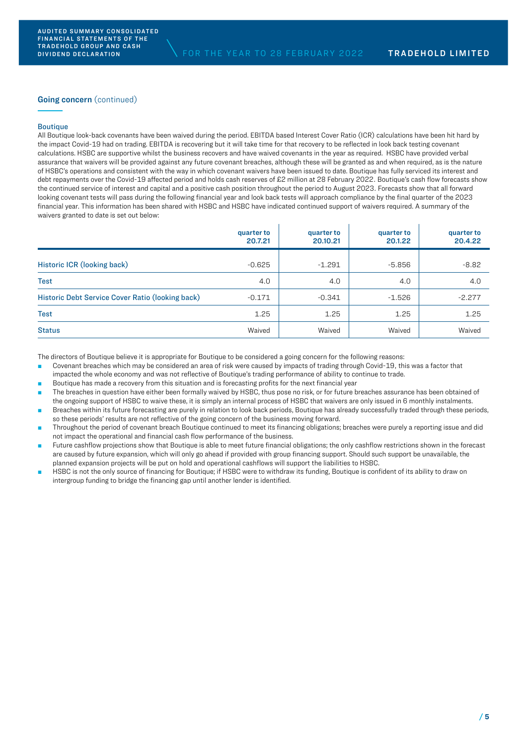# **Going concern** (continued)

#### Boutique

All Boutique look-back covenants have been waived during the period. EBITDA based Interest Cover Ratio (ICR) calculations have been hit hard by the impact Covid-19 had on trading. EBITDA is recovering but it will take time for that recovery to be reflected in look back testing covenant calculations. HSBC are supportive whilst the business recovers and have waived covenants in the year as required. HSBC have provided verbal assurance that waivers will be provided against any future covenant breaches, although these will be granted as and when required, as is the nature of HSBC's operations and consistent with the way in which covenant waivers have been issued to date. Boutique has fully serviced its interest and debt repayments over the Covid-19 affected period and holds cash reserves of £2 million at 28 February 2022. Boutique's cash flow forecasts show the continued service of interest and capital and a positive cash position throughout the period to August 2023. Forecasts show that all forward looking covenant tests will pass during the following financial year and look back tests will approach compliance by the final quarter of the 2023 financial year. This information has been shared with HSBC and HSBC have indicated continued support of waivers required. A summary of the waivers granted to date is set out below:

|                                                  | quarter to<br>20.7.21 | quarter to<br>20.10.21 | quarter to<br>20.1.22 | quarter to<br>20.4.22 |
|--------------------------------------------------|-----------------------|------------------------|-----------------------|-----------------------|
| Historic ICR (looking back)                      | $-0.625$              | $-1.291$               | $-5.856$              | $-8.82$               |
| <b>Test</b>                                      | 4.0                   | 4.0                    | 4.0                   | 4.0                   |
| Historic Debt Service Cover Ratio (looking back) | $-0.171$              | $-0.341$               | $-1.526$              | $-2.277$              |
| <b>Test</b>                                      | 1.25                  | 1.25                   | 1.25                  | 1.25                  |
| <b>Status</b>                                    | Waived                | Waived                 | Waived                | Waived                |

The directors of Boutique believe it is appropriate for Boutique to be considered a going concern for the following reasons:

- Covenant breaches which may be considered an area of risk were caused by impacts of trading through Covid-19, this was a factor that impacted the whole economy and was not reflective of Boutique's trading performance of ability to continue to trade.
- Boutique has made a recovery from this situation and is forecasting profits for the next financial year
- The breaches in question have either been formally waived by HSBC, thus pose no risk, or for future breaches assurance has been obtained of the ongoing support of HSBC to waive these, it is simply an internal process of HSBC that waivers are only issued in 6 monthly instalments.
- Breaches within its future forecasting are purely in relation to look back periods, Boutique has already successfully traded through these periods, so these periods' results are not reflective of the going concern of the business moving forward.
- Throughout the period of covenant breach Boutique continued to meet its financing obligations; breaches were purely a reporting issue and did not impact the operational and financial cash flow performance of the business.
- **Future cashflow projections show that Boutique is able to meet future financial obligations; the only cashflow restrictions shown in the forecast** are caused by future expansion, which will only go ahead if provided with group financing support. Should such support be unavailable, the planned expansion projects will be put on hold and operational cashflows will support the liabilities to HSBC.
- **BUD** HSBC is not the only source of financing for Boutique; if HSBC were to withdraw its funding, Boutique is confident of its ability to draw on intergroup funding to bridge the financing gap until another lender is identified.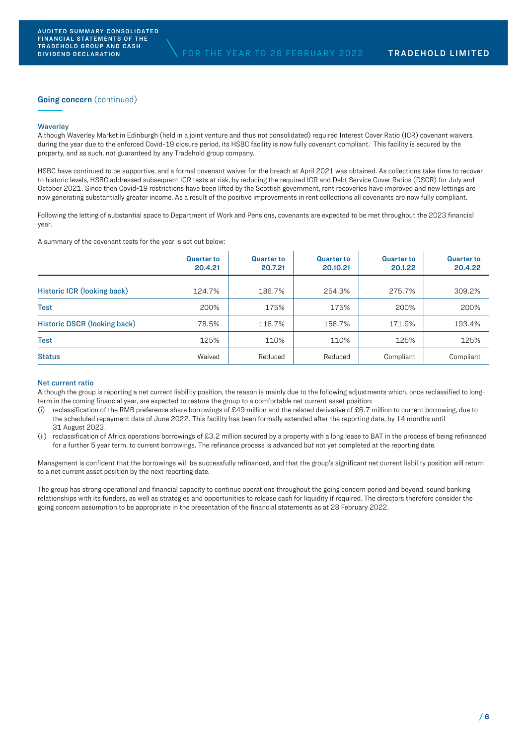# **Going concern** (continued)

#### **Waverley**

Although Waverley Market in Edinburgh (held in a joint venture and thus not consolidated) required Interest Cover Ratio (ICR) covenant waivers during the year due to the enforced Covid-19 closure period, its HSBC facility is now fully covenant compliant. This facility is secured by the property, and as such, not guaranteed by any Tradehold group company.

HSBC have continued to be supportive, and a formal covenant waiver for the breach at April 2021 was obtained. As collections take time to recover to historic levels, HSBC addressed subsequent ICR tests at risk, by reducing the required ICR and Debt Service Cover Ratios (DSCR) for July and October 2021. Since then Covid-19 restrictions have been lifted by the Scottish government, rent recoveries have improved and new lettings are now generating substantially greater income. As a result of the positive improvements in rent collections all covenants are now fully compliant.

Following the letting of substantial space to Department of Work and Pensions, covenants are expected to be met throughout the 2023 financial year.

A summary of the covenant tests for the year is set out below:

|                              | <b>Quarter to</b><br>20.4.21 | <b>Quarter to</b><br>20.7.21 | <b>Quarter to</b><br>20.10.21 | <b>Quarter to</b><br>20.1.22 | <b>Quarter to</b><br>20,4.22 |
|------------------------------|------------------------------|------------------------------|-------------------------------|------------------------------|------------------------------|
| Historic ICR (looking back)  | 124.7%                       | 186.7%                       | 254.3%                        | 275.7%                       | 309.2%                       |
| <b>Test</b>                  | 200%                         | 175%                         | 175%                          | 200%                         | 200%                         |
| Historic DSCR (looking back) | 78.5%                        | 116.7%                       | 158.7%                        | 171.9%                       | 193.4%                       |
| <b>Test</b>                  | 125%                         | 110%                         | 110%                          | 125%                         | 125%                         |
| <b>Status</b>                | Waived                       | Reduced                      | Reduced                       | Compliant                    | Compliant                    |

#### Net current ratio

Although the group is reporting a net current liability position, the reason is mainly due to the following adjustments which, once reclassified to longterm in the coming financial year, are expected to restore the group to a comfortable net current asset position:

- (i) reclassification of the RMB preference share borrowings of £49 million and the related derivative of £6.7 million to current borrowing, due to the scheduled repayment date of June 2022. This facility has been formally extended after the reporting date, by 14 months until 31 August 2023.
- (ii) reclassification of Africa operations borrowings of £3.2 million secured by a property with a long lease to BAT in the process of being refinanced for a further 5 year term, to current borrowings. The refinance process is advanced but not yet completed at the reporting date.

Management is confident that the borrowings will be successfully refinanced, and that the group's significant net current liability position will return to a net current asset position by the next reporting date.

The group has strong operational and financial capacity to continue operations throughout the going concern period and beyond, sound banking relationships with its funders, as well as strategies and opportunities to release cash for liquidity if required. The directors therefore consider the going concern assumption to be appropriate in the presentation of the financial statements as at 28 February 2022.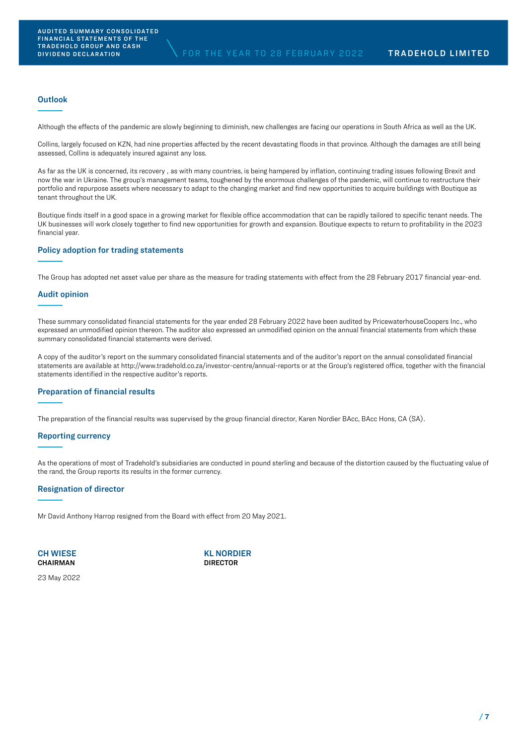#### **Outlook**

Although the effects of the pandemic are slowly beginning to diminish, new challenges are facing our operations in South Africa as well as the UK.

Collins, largely focused on KZN, had nine properties affected by the recent devastating floods in that province. Although the damages are still being assessed, Collins is adequately insured against any loss.

As far as the UK is concerned, its recovery , as with many countries, is being hampered by inflation, continuing trading issues following Brexit and now the war in Ukraine. The group's management teams, toughened by the enormous challenges of the pandemic, will continue to restructure their portfolio and repurpose assets where necessary to adapt to the changing market and find new opportunities to acquire buildings with Boutique as tenant throughout the UK.

Boutique finds itself in a good space in a growing market for flexible office accommodation that can be rapidly tailored to specific tenant needs. The UK businesses will work closely together to find new opportunities for growth and expansion. Boutique expects to return to profitability in the 2023 financial year.

# **Policy adoption for trading statements**

The Group has adopted net asset value per share as the measure for trading statements with effect from the 28 February 2017 financial year-end.

### **Audit opinion**

These summary consolidated financial statements for the year ended 28 February 2022 have been audited by PricewaterhouseCoopers Inc., who expressed an unmodified opinion thereon. The auditor also expressed an unmodified opinion on the annual financial statements from which these summary consolidated financial statements were derived.

A copy of the auditor's report on the summary consolidated financial statements and of the auditor's report on the annual consolidated financial statements are available at http://www.tradehold.co.za/investor-centre/annual-reports or at the Group's registered office, together with the financial statements identified in the respective auditor's reports.

### **Preparation of financial results**

The preparation of the financial results was supervised by the group financial director, Karen Nordier BAcc, BAcc Hons, CA (SA).

#### **Reporting currency**

As the operations of most of Tradehold's subsidiaries are conducted in pound sterling and because of the distortion caused by the fluctuating value of the rand, the Group reports its results in the former currency.

## **Resignation of director**

Mr David Anthony Harrop resigned from the Board with effect from 20 May 2021.

**CHAIRMAN DIRECTOR**

**CH WIESE KL NORDIER**

23 May 2022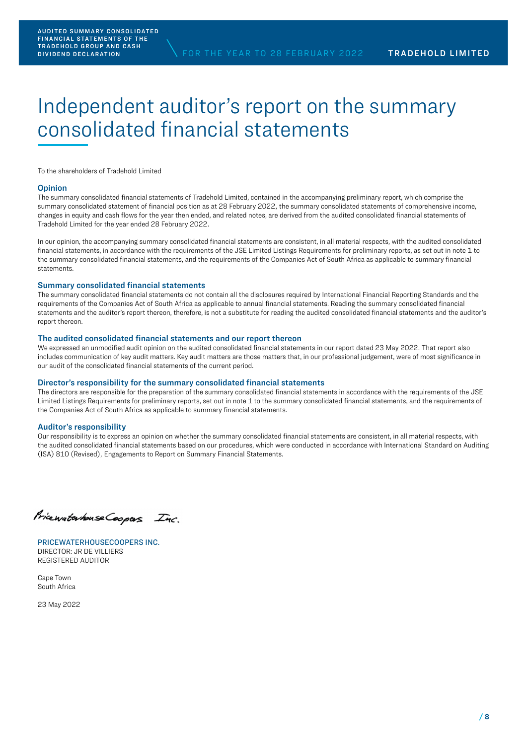# Independent auditor's report on the summary consolidated financial statements

To the shareholders of Tradehold Limited

#### **Opinion**

The summary consolidated financial statements of Tradehold Limited, contained in the accompanying preliminary report, which comprise the summary consolidated statement of financial position as at 28 February 2022, the summary consolidated statements of comprehensive income, changes in equity and cash flows for the year then ended, and related notes, are derived from the audited consolidated financial statements of Tradehold Limited for the year ended 28 February 2022.

In our opinion, the accompanying summary consolidated financial statements are consistent, in all material respects, with the audited consolidated financial statements, in accordance with the requirements of the JSE Limited Listings Requirements for preliminary reports, as set out in note 1 to the summary consolidated financial statements, and the requirements of the Companies Act of South Africa as applicable to summary financial statements.

### **Summary consolidated financial statements**

The summary consolidated financial statements do not contain all the disclosures required by International Financial Reporting Standards and the requirements of the Companies Act of South Africa as applicable to annual financial statements. Reading the summary consolidated financial statements and the auditor's report thereon, therefore, is not a substitute for reading the audited consolidated financial statements and the auditor's report thereon.

#### **The audited consolidated financial statements and our report thereon**

We expressed an unmodified audit opinion on the audited consolidated financial statements in our report dated 23 May 2022. That report also includes communication of key audit matters. Key audit matters are those matters that, in our professional judgement, were of most significance in our audit of the consolidated financial statements of the current period.

#### **Director's responsibility for the summary consolidated financial statements**

The directors are responsible for the preparation of the summary consolidated financial statements in accordance with the requirements of the JSE Limited Listings Requirements for preliminary reports, set out in note 1 to the summary consolidated financial statements, and the requirements of the Companies Act of South Africa as applicable to summary financial statements.

#### **Auditor's responsibility**

Our responsibility is to express an opinion on whether the summary consolidated financial statements are consistent, in all material respects, with the audited consolidated financial statements based on our procedures, which were conducted in accordance with International Standard on Auditing (ISA) 810 (Revised), Engagements to Report on Summary Financial Statements.

Pricewaterhouse Coopers Inc.

PRICEWATERHOUSECOOPERS INC. DIRECTOR: JR DE VILLIERS REGISTERED AUDITOR

Cape Town South Africa

23 May 2022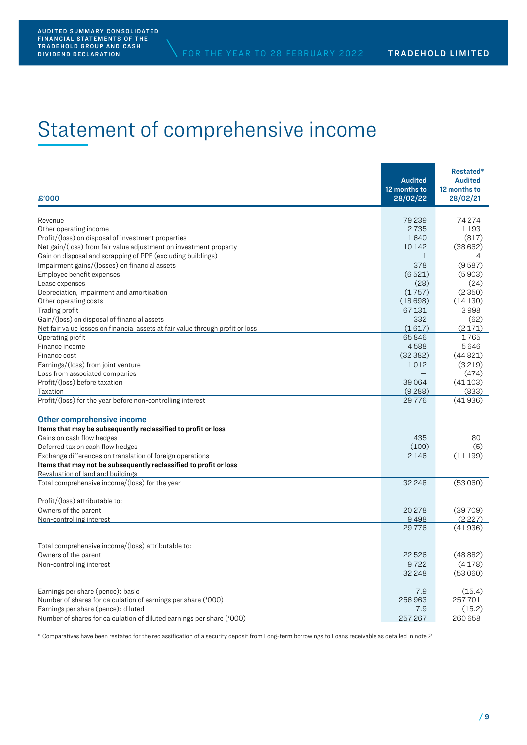# Statement of comprehensive income

| £'000                                                                               | <b>Audited</b><br>12 months to<br>28/02/22 | Restated*<br><b>Audited</b><br>12 months to<br>28/02/21 |
|-------------------------------------------------------------------------------------|--------------------------------------------|---------------------------------------------------------|
| Revenue                                                                             | 79 239                                     | 74274                                                   |
| Other operating income                                                              | 2735                                       | 1193                                                    |
| Profit/(loss) on disposal of investment properties                                  | 1640                                       | (817)                                                   |
| Net gain/(loss) from fair value adjustment on investment property                   | 10 142                                     | (38662)                                                 |
| Gain on disposal and scrapping of PPE (excluding buildings)                         | $\mathbf{1}$                               | 4                                                       |
| Impairment gains/(losses) on financial assets                                       | 378                                        | (9587)                                                  |
| Employee benefit expenses                                                           | (6521)                                     | (5903)                                                  |
| Lease expenses                                                                      | (28)                                       | (24)                                                    |
| Depreciation, impairment and amortisation                                           | (1757)                                     | (2350)                                                  |
| Other operating costs                                                               | (18698)                                    | (14130)                                                 |
| Trading profit                                                                      | 67131                                      | 3998                                                    |
| Gain/(loss) on disposal of financial assets                                         | 332                                        | (62)                                                    |
| Net fair value losses on financial assets at fair value through profit or loss      | (1617)                                     | (2171)                                                  |
| Operating profit                                                                    | 65846                                      | 1765                                                    |
| Finance income                                                                      | 4588                                       | 5646                                                    |
| Finance cost                                                                        | (32382)                                    | (44821)                                                 |
| Earnings/(loss) from joint venture                                                  | 1012                                       | (3219)                                                  |
| Loss from associated companies                                                      | 39064                                      | (474)                                                   |
| Profit/(loss) before taxation<br>Taxation                                           | (9288)                                     | (41103)<br>(833)                                        |
| Profit/(loss) for the year before non-controlling interest                          | 29776                                      | (41 936)                                                |
|                                                                                     |                                            |                                                         |
| Other comprehensive income                                                          |                                            |                                                         |
| Items that may be subsequently reclassified to profit or loss                       |                                            |                                                         |
| Gains on cash flow hedges                                                           | 435                                        | 80                                                      |
| Deferred tax on cash flow hedges                                                    | (109)                                      | (5)                                                     |
| Exchange differences on translation of foreign operations                           | 2146                                       | (11199)                                                 |
| Items that may not be subsequently reclassified to profit or loss                   |                                            |                                                         |
| Revaluation of land and buildings<br>Total comprehensive income/(loss) for the year | 32 248                                     | (53060)                                                 |
|                                                                                     |                                            |                                                         |
| Profit/(loss) attributable to:                                                      |                                            |                                                         |
| Owners of the parent                                                                | 20278                                      | (39709)                                                 |
| Non-controlling interest                                                            | 9498                                       | (2227)                                                  |
|                                                                                     | 29776                                      | (41 936)                                                |
|                                                                                     |                                            |                                                         |
| Total comprehensive income/(loss) attributable to:                                  |                                            |                                                         |
| Owners of the parent                                                                | 22526                                      | (48882)                                                 |
| Non-controlling interest                                                            | 9722                                       | (4178)                                                  |
|                                                                                     | 32 248                                     | (53060)                                                 |
|                                                                                     |                                            |                                                         |
| Earnings per share (pence): basic                                                   | 7.9                                        | (15.4)                                                  |
| Number of shares for calculation of earnings per share ('000)                       | 256963                                     | 257701                                                  |
| Earnings per share (pence): diluted                                                 | 7.9                                        | (15.2)                                                  |
| Number of shares for calculation of diluted earnings per share ('000)               | 257267                                     | 260 658                                                 |

\* Comparatives have been restated for the reclassification of a security deposit from Long-term borrowings to Loans receivable as detailed in note 2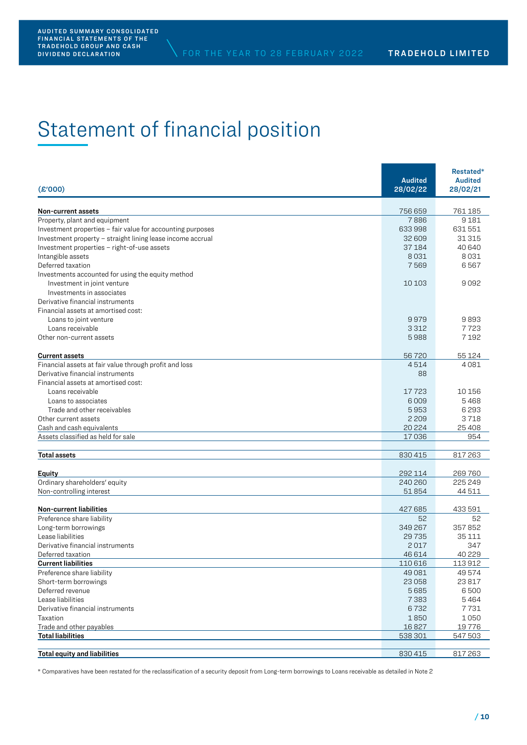# Statement of financial position

| (E'000)                                                    | <b>Audited</b><br>28/02/22 | Restated*<br><b>Audited</b><br>28/02/21 |
|------------------------------------------------------------|----------------------------|-----------------------------------------|
| Non-current assets                                         | 756 659                    | 761185                                  |
| Property, plant and equipment                              | 7886                       | 9181                                    |
| Investment properties - fair value for accounting purposes | 633998                     | 631551                                  |
| Investment property - straight lining lease income accrual | 32609                      | 31315                                   |
| Investment properties – right-of-use assets                | 37184                      | 40 640                                  |
| Intangible assets                                          | 8031                       | 8031                                    |
| Deferred taxation                                          | 7569                       | 6567                                    |
| Investments accounted for using the equity method          |                            |                                         |
| Investment in joint venture                                | 10 10 3                    | 9092                                    |
| Investments in associates                                  |                            |                                         |
| Derivative financial instruments                           |                            |                                         |
| Financial assets at amortised cost:                        |                            |                                         |
| Loans to joint venture                                     | 9979                       | 9893                                    |
| Loans receivable                                           | 3312                       | 7723                                    |
| Other non-current assets                                   | 5988                       | 7192                                    |
|                                                            |                            |                                         |
| <b>Current assets</b>                                      | 56720                      | 55 1 24                                 |
| Financial assets at fair value through profit and loss     | 4514                       | 4081                                    |
| Derivative financial instruments                           | 88                         |                                         |
| Financial assets at amortised cost:                        |                            |                                         |
| Loans receivable                                           | 17723                      | 10156                                   |
| Loans to associates                                        | 6009                       | 5468                                    |
| Trade and other receivables                                | 5953                       | 6293                                    |
| Other current assets                                       | 2 2 0 9                    | 3718                                    |
| Cash and cash equivalents                                  | 20224                      | 25408                                   |
| Assets classified as held for sale                         | 17036                      | 954                                     |
|                                                            |                            |                                         |
| <b>Total assets</b>                                        | 830 415                    | 817263                                  |
| <b>Equity</b>                                              | 292 114                    | 269760                                  |
| Ordinary shareholders' equity                              | 240 260                    | 225 249                                 |
| Non-controlling interest                                   | 51854                      | 44 511                                  |
|                                                            |                            |                                         |
| Non-current liabilities                                    | 427685                     | 433591                                  |
| Preference share liability                                 | 52                         | 52                                      |
| Long-term borrowings                                       | 349 267                    | 357852                                  |
| Lease liabilities                                          | 29735                      | 35111                                   |
| Derivative financial instruments                           | 2017                       | 347                                     |
| Deferred taxation                                          | 46614                      | 40 2 29                                 |
| <b>Current liabilities</b>                                 | 110616                     | 113912                                  |
| Preference share liability                                 | 49081                      | 49574                                   |
| Short-term borrowings                                      | 23058                      | 23817                                   |
| Deferred revenue                                           | 5685                       | 6500                                    |
| Lease liabilities                                          | 7383                       | 5464                                    |
| Derivative financial instruments                           | 6732                       | 7731                                    |
| Taxation                                                   | 1850                       | 1050                                    |
| Trade and other payables                                   | 16827                      | 19776                                   |
| <b>Total liabilities</b>                                   | 538 301                    | 547503                                  |
| <b>Total equity and liabilities</b>                        | 830415                     | 817263                                  |

\* Comparatives have been restated for the reclassification of a security deposit from Long-term borrowings to Loans receivable as detailed in Note 2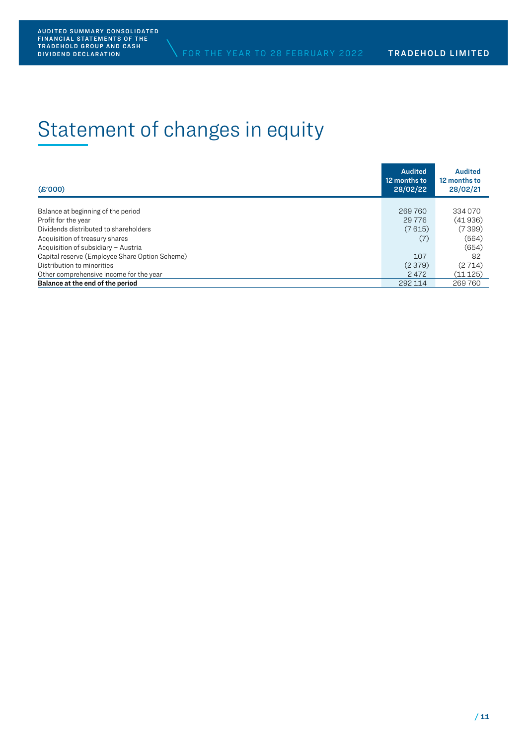# Statement of changes in equity

| (E'000)                                        | <b>Audited</b><br>12 months to<br>28/02/22 | <b>Audited</b><br>12 months to<br>28/02/21 |
|------------------------------------------------|--------------------------------------------|--------------------------------------------|
|                                                |                                            |                                            |
| Balance at beginning of the period             | 269760                                     | 334070                                     |
| Profit for the year                            | 29 7 7 6                                   | (41936)                                    |
| Dividends distributed to shareholders          | (7615)                                     | (7 399)                                    |
| Acquisition of treasury shares                 | (7)                                        | (564)                                      |
| Acquisition of subsidiary - Austria            |                                            | (654)                                      |
| Capital reserve (Employee Share Option Scheme) | 107                                        | 82                                         |
| Distribution to minorities                     | (2379)                                     | (2714)                                     |
| Other comprehensive income for the year        | 2472                                       | (11125)                                    |
| Balance at the end of the period               | 292 114                                    | 269760                                     |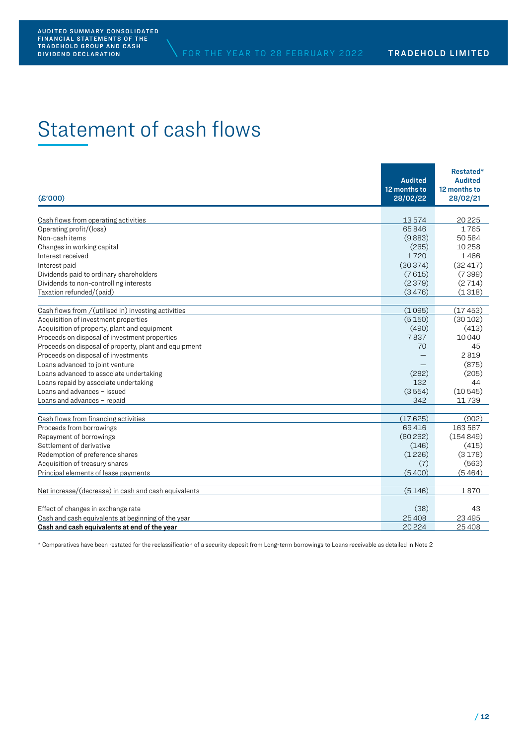# Statement of cash flows

| (E'000)                                               | <b>Audited</b><br>12 months to<br>28/02/22 | Restated*<br><b>Audited</b><br>12 months to<br>28/02/21 |
|-------------------------------------------------------|--------------------------------------------|---------------------------------------------------------|
| Cash flows from operating activities                  | 13574                                      | 20225                                                   |
| Operating profit/(loss)                               | 65846                                      | 1765                                                    |
| Non-cash items                                        | (9883)                                     | 50584                                                   |
| Changes in working capital                            | (265)                                      | 10258                                                   |
| Interest received                                     | 1720                                       | 1466                                                    |
| Interest paid                                         | (30374)                                    | (32417)                                                 |
| Dividends paid to ordinary shareholders               | (7615)                                     | (7399)                                                  |
| Dividends to non-controlling interests                | (2379)                                     | (2714)                                                  |
| Taxation refunded/(paid)                              | (3476)                                     | (1318)                                                  |
|                                                       |                                            |                                                         |
| Cash flows from / (utilised in) investing activities  | (1095)                                     | (17453)                                                 |
| Acquisition of investment properties                  | (5150)                                     | (30102)                                                 |
| Acquisition of property, plant and equipment          | (490)                                      | (413)                                                   |
| Proceeds on disposal of investment properties         | 7837                                       | 10040                                                   |
| Proceeds on disposal of property, plant and equipment | 70                                         | 45                                                      |
| Proceeds on disposal of investments                   |                                            | 2819                                                    |
| Loans advanced to joint venture                       |                                            | (875)                                                   |
| Loans advanced to associate undertaking               | (282)                                      | (205)                                                   |
| Loans repaid by associate undertaking                 | 132                                        | 44                                                      |
| Loans and advances - issued                           | (3554)                                     | (10545)                                                 |
| Loans and advances - repaid                           | 342                                        | 11739                                                   |
|                                                       |                                            |                                                         |
| Cash flows from financing activities                  | (17625)                                    | (902)                                                   |
| Proceeds from borrowings                              | 69416                                      | 163567                                                  |
| Repayment of borrowings                               | (80262)                                    | (154849)                                                |
| Settlement of derivative                              | (146)                                      | (415)                                                   |
| Redemption of preference shares                       | (1226)                                     | (3178)                                                  |
| Acquisition of treasury shares                        | (7)                                        | (563)                                                   |
| Principal elements of lease payments                  | (5400)                                     | (5464)                                                  |
| Net increase/(decrease) in cash and cash equivalents  | (5146)                                     | 1870                                                    |
|                                                       |                                            |                                                         |
| Effect of changes in exchange rate                    | (38)                                       | 43                                                      |
| Cash and cash equivalents at beginning of the year    | 25 4 08                                    | 23 4 95                                                 |
| Cash and cash equivalents at end of the year          | 20 224                                     | 25408                                                   |

\* Comparatives have been restated for the reclassification of a security deposit from Long-term borrowings to Loans receivable as detailed in Note 2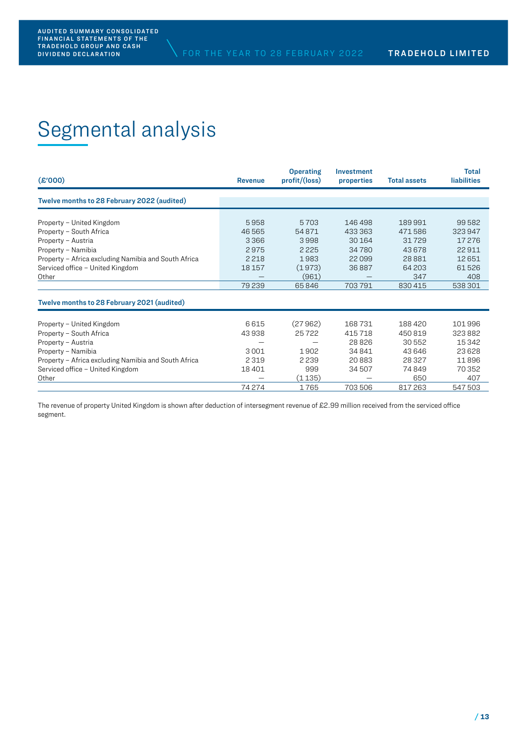# Segmental analysis

| (E'000)                                              | <b>Revenue</b> | <b>Operating</b><br>profit/(loss) | <b>Investment</b><br>properties | <b>Total assets</b> | <b>Total</b><br><b>liabilities</b> |
|------------------------------------------------------|----------------|-----------------------------------|---------------------------------|---------------------|------------------------------------|
| Twelve months to 28 February 2022 (audited)          |                |                                   |                                 |                     |                                    |
| Property - United Kingdom                            | 5958           | 5703                              | 146498                          | 189991              | 99582                              |
| Property - South Africa                              | 46565          | 54871                             | 433 363                         | 471586              | 323947                             |
| Property - Austria                                   | 3366           | 3998                              | 30 164                          | 31729               | 17276                              |
| Property - Namibia                                   | 2975           | 2225                              | 34 780                          | 43678               | 22911                              |
| Property - Africa excluding Namibia and South Africa | 2218           | 1983                              | 22099                           | 28881               | 12651                              |
| Serviced office - United Kingdom                     | 18 157         | (1973)                            | 36887                           | 64 203              | 61526                              |
| Other                                                |                | (961)                             |                                 | 347                 | 408                                |
|                                                      | 79239          | 65846                             | 703791                          | 830 415             | 538 301                            |
| Twelve months to 28 February 2021 (audited)          |                |                                   |                                 |                     |                                    |
| Property - United Kingdom                            | 6615           | (27962)                           | 168731                          | 188420              | 101996                             |
| Property - South Africa                              | 43938          | 25722                             | 415718                          | 450819              | 323882                             |
| Property - Austria                                   |                |                                   | 28826                           | 30552               | 15 342                             |
| Property - Namibia                                   | 3001           | 1902                              | 34841                           | 43646               | 23628                              |
| Property - Africa excluding Namibia and South Africa | 2 3 1 9        | 2 2 3 9                           | 20883                           | 28327               | 11896                              |
| Serviced office - United Kingdom                     | 18 401         | 999                               | 34507                           | 74849               | 70 352                             |
| Other                                                |                | (1135)                            |                                 | 650                 | 407                                |
|                                                      | 74 274         | 1765                              | 703506                          | 817263              | 547 503                            |

The revenue of property United Kingdom is shown after deduction of intersegment revenue of £2.99 million received from the serviced office segment.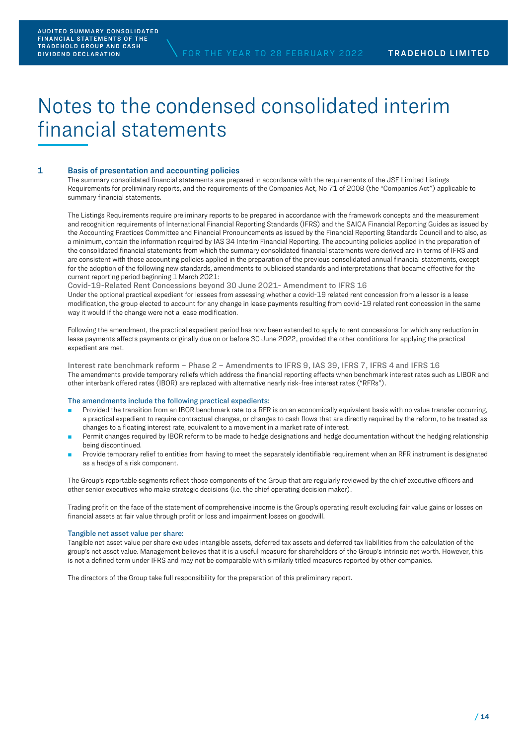# Notes to the condensed consolidated interim financial statements

# **1 Basis of presentation and accounting policies**

 The summary consolidated financial statements are prepared in accordance with the requirements of the JSE Limited Listings Requirements for preliminary reports, and the requirements of the Companies Act, No 71 of 2008 (the "Companies Act") applicable to summary financial statements.

 The Listings Requirements require preliminary reports to be prepared in accordance with the framework concepts and the measurement and recognition requirements of International Financial Reporting Standards (IFRS) and the SAICA Financial Reporting Guides as issued by the Accounting Practices Committee and Financial Pronouncements as issued by the Financial Reporting Standards Council and to also, as a minimum, contain the information required by IAS 34 Interim Financial Reporting. The accounting policies applied in the preparation of the consolidated financial statements from which the summary consolidated financial statements were derived are in terms of IFRS and are consistent with those accounting policies applied in the preparation of the previous consolidated annual financial statements, except for the adoption of the following new standards, amendments to publicised standards and interpretations that became effective for the current reporting period beginning 1 March 2021:

Covid-19-Related Rent Concessions beyond 30 June 2021- Amendment to IFRS 16

 Under the optional practical expedient for lessees from assessing whether a covid-19 related rent concession from a lessor is a lease modification, the group elected to account for any change in lease payments resulting from covid-19 related rent concession in the same way it would if the change were not a lease modification.

 Following the amendment, the practical expedient period has now been extended to apply to rent concessions for which any reduction in lease payments affects payments originally due on or before 30 June 2022, provided the other conditions for applying the practical expedient are met.

Interest rate benchmark reform – Phase 2 – Amendments to IFRS 9, IAS 39, IFRS 7, IFRS 4 and IFRS 16 The amendments provide temporary reliefs which address the financial reporting effects when benchmark interest rates such as LIBOR and other interbank offered rates (IBOR) are replaced with alternative nearly risk-free interest rates ("RFRs").

# The amendments include the following practical expedients:

- Provided the transition from an IBOR benchmark rate to a RFR is on an economically equivalent basis with no value transfer occurring, a practical expedient to require contractual changes, or changes to cash flows that are directly required by the reform, to be treated as changes to a floating interest rate, equivalent to a movement in a market rate of interest.
- Permit changes required by IBOR reform to be made to hedge designations and hedge documentation without the hedging relationship being discontinued.
- Provide temporary relief to entities from having to meet the separately identifiable requirement when an RFR instrument is designated as a hedge of a risk component.

 The Group's reportable segments reflect those components of the Group that are regularly reviewed by the chief executive officers and other senior executives who make strategic decisions (i.e. the chief operating decision maker).

 Trading profit on the face of the statement of comprehensive income is the Group's operating result excluding fair value gains or losses on financial assets at fair value through profit or loss and impairment losses on goodwill.

# Tangible net asset value per share:

 Tangible net asset value per share excludes intangible assets, deferred tax assets and deferred tax liabilities from the calculation of the group's net asset value. Management believes that it is a useful measure for shareholders of the Group's intrinsic net worth. However, this is not a defined term under IFRS and may not be comparable with similarly titled measures reported by other companies.

The directors of the Group take full responsibility for the preparation of this preliminary report.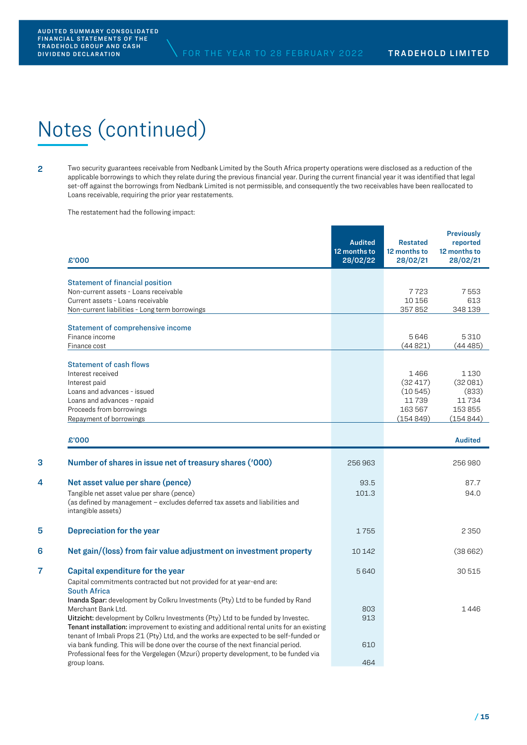**2** Two security guarantees receivable from Nedbank Limited by the South Africa property operations were disclosed as a reduction of the applicable borrowings to which they relate during the previous financial year. During the current financial year it was identified that legal set-off against the borrowings from Nedbank Limited is not permissible, and consequently the two receivables have been reallocated to Loans receivable, requiring the prior year restatements.

The restatement had the following impact:

| £'000                                                                                                                                                                                   | <b>Audited</b><br>12 months to<br>28/02/22 | <b>Restated</b><br>12 months to<br>28/02/21 | <b>Previously</b><br>reported<br>12 months to<br>28/02/21 |
|-----------------------------------------------------------------------------------------------------------------------------------------------------------------------------------------|--------------------------------------------|---------------------------------------------|-----------------------------------------------------------|
| <b>Statement of financial position</b>                                                                                                                                                  |                                            |                                             |                                                           |
| Non-current assets - Loans receivable                                                                                                                                                   |                                            | 7723                                        | 7553                                                      |
| Current assets - Loans receivable                                                                                                                                                       |                                            | 10 156                                      | 613                                                       |
| Non-current liabilities - Long term borrowings                                                                                                                                          |                                            | 357852                                      | 348 139                                                   |
| <b>Statement of comprehensive income</b>                                                                                                                                                |                                            |                                             |                                                           |
| Finance income                                                                                                                                                                          |                                            | 5646                                        | 5310                                                      |
| Finance cost                                                                                                                                                                            |                                            | (44821)                                     | (44485)                                                   |
| <b>Statement of cash flows</b>                                                                                                                                                          |                                            |                                             |                                                           |
| Interest received                                                                                                                                                                       |                                            | 1466                                        | 1 1 3 0                                                   |
| Interest paid                                                                                                                                                                           |                                            | (32417)                                     | (32081)                                                   |
| Loans and advances - issued                                                                                                                                                             |                                            | (10545)                                     | (833)                                                     |
| Loans and advances - repaid                                                                                                                                                             |                                            | 11739                                       | 11734                                                     |
| Proceeds from borrowings                                                                                                                                                                |                                            | 163567                                      | 153855                                                    |
| Repayment of borrowings                                                                                                                                                                 |                                            | (154849)                                    | (154 844)                                                 |
| £'000                                                                                                                                                                                   |                                            |                                             | <b>Audited</b>                                            |
| Number of shares in issue net of treasury shares ('000)                                                                                                                                 | 256963                                     |                                             | 256980                                                    |
| Net asset value per share (pence)                                                                                                                                                       | 93.5                                       |                                             | 87.7                                                      |
| Tangible net asset value per share (pence)                                                                                                                                              | 101.3                                      |                                             | 94.0                                                      |
| (as defined by management – excludes deferred tax assets and liabilities and<br>intangible assets)                                                                                      |                                            |                                             |                                                           |
| Depreciation for the year                                                                                                                                                               | 1755                                       |                                             | 2 3 5 0                                                   |
| Net gain/(loss) from fair value adjustment on investment property                                                                                                                       | 10 142                                     |                                             | (38662)                                                   |
| Capital expenditure for the year                                                                                                                                                        | 5640                                       |                                             | 30515                                                     |
| Capital commitments contracted but not provided for at year-end are:<br><b>South Africa</b>                                                                                             |                                            |                                             |                                                           |
| Inanda Spar: development by Colkru Investments (Pty) Ltd to be funded by Rand<br>Merchant Bank Ltd.                                                                                     | 803                                        |                                             | 1446                                                      |
| Uitzicht: development by Colkru Investments (Pty) Ltd to be funded by Investec.                                                                                                         | 913                                        |                                             |                                                           |
| <b>Tenant installation:</b> improvement to existing and additional rental units for an existing<br>tenant of Imbali Props 21 (Pty) Ltd, and the works are expected to be self-funded or |                                            |                                             |                                                           |
| via bank funding. This will be done over the course of the next financial period.                                                                                                       | 610                                        |                                             |                                                           |
| Professional fees for the Vergelegen (Mzuri) property development, to be funded via                                                                                                     |                                            |                                             |                                                           |
| group loans.                                                                                                                                                                            | 464                                        |                                             |                                                           |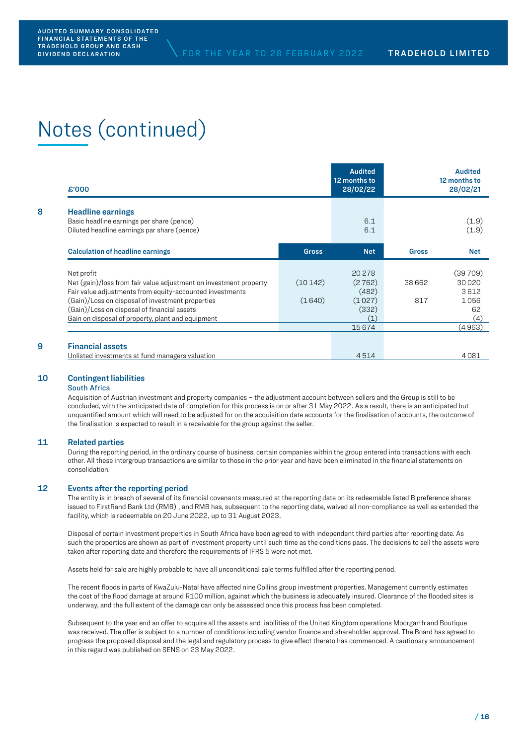| £'000                                                                 |              | <b>Audited</b><br>12 months to<br>28/02/22 |              | <b>Audited</b><br>12 months to<br>28/02/21 |
|-----------------------------------------------------------------------|--------------|--------------------------------------------|--------------|--------------------------------------------|
| <b>Headline earnings</b><br>Basic headline earnings per share (pence) |              | 6.1                                        |              | (1.9)                                      |
| Diluted headline earnings par share (pence)                           |              | 6.1                                        |              | (1.9)                                      |
| <b>Calculation of headline earnings</b>                               | <b>Gross</b> | <b>Net</b>                                 | <b>Gross</b> | <b>Net</b>                                 |
| Net profit                                                            |              | 20278                                      |              | (39709)                                    |
| Net (gain)/loss from fair value adjustment on investment property     | (10142)      | (2762)                                     | 38 662       | 30020                                      |
| Fair value adjustments from equity-accounted investments              |              | (482)                                      |              | 3612                                       |
| (Gain)/Loss on disposal of investment properties                      | (1640)       | (1027)                                     | 817          | 1056                                       |
| (Gain)/Loss on disposal of financial assets                           |              | (332)                                      |              | 62                                         |
| Gain on disposal of property, plant and equipment                     |              | $\left( 1\right)$                          |              | (4)                                        |
|                                                                       |              | 15674                                      |              | (4963)                                     |
| <b>Financial assets</b>                                               |              |                                            |              |                                            |
| Unlisted investments at fund managers valuation                       |              | 4514                                       |              | 4081                                       |

### **10 Contingent liabilities**

#### South Africa

Acquisition of Austrian investment and property companies – the adjustment account between sellers and the Group is still to be concluded, with the anticipated date of completion for this process is on or after 31 May 2022. As a result, there is an anticipated but unquantified amount which will need to be adjusted for on the acquisition date accounts for the finalisation of accounts, the outcome of the finalisation is expected to result in a receivable for the group against the seller.

### **11 Related parties**

During the reporting period, in the ordinary course of business, certain companies within the group entered into transactions with each other. All these intergroup transactions are similar to those in the prior year and have been eliminated in the financial statements on consolidation.

#### **12 Events after the reporting period**

The entity is in breach of several of its financial covenants measured at the reporting date on its redeemable listed B preference shares issued to FirstRand Bank Ltd (RMB) , and RMB has, subsequent to the reporting date, waived all non-compliance as well as extended the facility, which is redeemable on 20 June 2022, up to 31 August 2023.

Disposal of certain investment properties in South Africa have been agreed to with independent third parties after reporting date. As such the properties are shown as part of investment property until such time as the conditions pass. The decisions to sell the assets were taken after reporting date and therefore the requirements of IFRS 5 were not met.

Assets held for sale are highly probable to have all unconditional sale terms fulfilled after the reporting period.

The recent floods in parts of KwaZulu-Natal have affected nine Collins group investment properties. Management currently estimates the cost of the flood damage at around R100 million, against which the business is adequately insured. Clearance of the flooded sites is underway, and the full extent of the damage can only be assessed once this process has been completed.

Subsequent to the year end an offer to acquire all the assets and liabilities of the United Kingdom operations Moorgarth and Boutique was received. The offer is subject to a number of conditions including vendor finance and shareholder approval. The Board has agreed to progress the proposed disposal and the legal and regulatory process to give effect thereto has commenced. A cautionary announcement in this regard was published on SENS on 23 May 2022.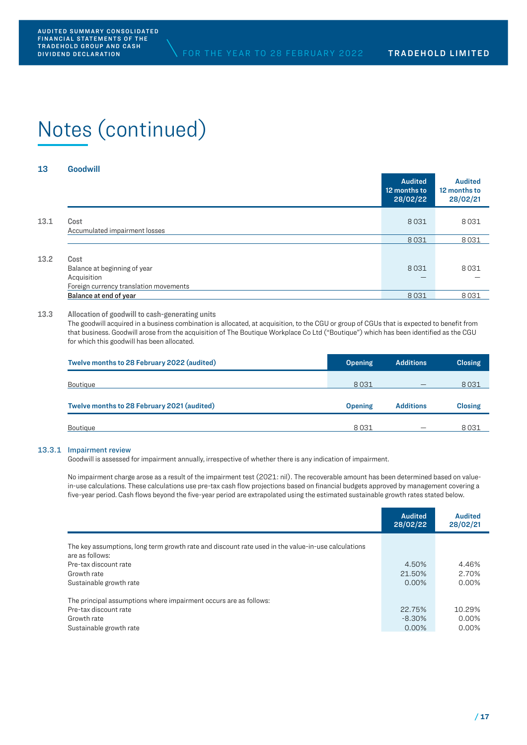### **13 Goodwill**

|      |                                        | <b>Audited</b><br>12 months to<br>28/02/22 | <b>Audited</b><br>12 months to<br>28/02/21 |
|------|----------------------------------------|--------------------------------------------|--------------------------------------------|
| 13.1 | Cost                                   | 8031                                       | 8031                                       |
|      | Accumulated impairment losses          |                                            |                                            |
|      |                                        | 8031                                       | 8031                                       |
| 13.2 | Cost                                   |                                            |                                            |
|      | Balance at beginning of year           | 8031                                       | 8031                                       |
|      | Acquisition                            | —                                          |                                            |
|      | Foreign currency translation movements |                                            |                                            |
|      | Balance at end of year                 | 8031                                       | 8031                                       |

# **13.3 Allocation of goodwill to cash-generating units**

The goodwill acquired in a business combination is allocated, at acquisition, to the CGU or group of CGUs that is expected to benefit from that business. Goodwill arose from the acquisition of The Boutique Workplace Co Ltd ("Boutique") which has been identified as the CGU for which this goodwill has been allocated.

| Twelve months to 28 February 2022 (audited) | <b>Opening</b> | <b>Additions</b> | <b>Closing</b> |
|---------------------------------------------|----------------|------------------|----------------|
| Boutique                                    | 8031           |                  | 8031           |
| Twelve months to 28 February 2021 (audited) | <b>Opening</b> | <b>Additions</b> | <b>Closing</b> |
| Boutique                                    | 8031           |                  | 8031           |

### 13.3.1 Impairment review

Goodwill is assessed for impairment annually, irrespective of whether there is any indication of impairment.

No impairment charge arose as a result of the impairment test (2021: nil). The recoverable amount has been determined based on valuein-use calculations. These calculations use pre-tax cash flow projections based on financial budgets approved by management covering a five-year period. Cash flows beyond the five-year period are extrapolated using the estimated sustainable growth rates stated below.

|                                                                                                                                      | <b>Audited</b><br>28/02/22      | <b>Audited</b><br>28/02/21     |
|--------------------------------------------------------------------------------------------------------------------------------------|---------------------------------|--------------------------------|
| The key assumptions, long term growth rate and discount rate used in the value-in-use calculations<br>are as follows:                |                                 |                                |
| Pre-tax discount rate<br>Growth rate<br>Sustainable growth rate                                                                      | 4.50%<br>21.50%<br>$0.00\%$     | 4.46%<br>2.70%<br>$0.00\%$     |
| The principal assumptions where impairment occurs are as follows:<br>Pre-tax discount rate<br>Growth rate<br>Sustainable growth rate | 22.75%<br>$-8.30\%$<br>$0.00\%$ | 10.29%<br>$0.00\%$<br>$0.00\%$ |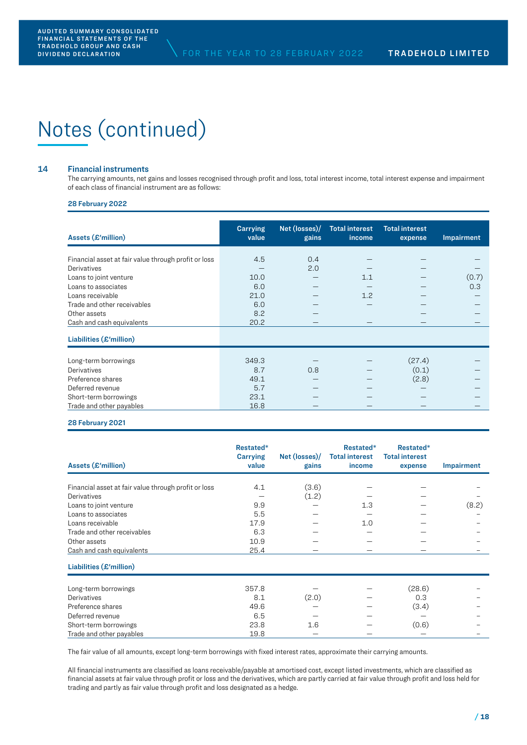#### **14 Financial instruments**

The carrying amounts, net gains and losses recognised through profit and loss, total interest income, total interest expense and impairment of each class of financial instrument are as follows:

# **28 February 2022**

| Assets (£'million)                                   | <b>Carrying</b><br>value | Net (losses)/<br>gains | <b>Total interest</b><br>income | <b>Total interest</b><br>expense | Impairment |
|------------------------------------------------------|--------------------------|------------------------|---------------------------------|----------------------------------|------------|
| Financial asset at fair value through profit or loss | 4.5                      | 0.4                    |                                 |                                  |            |
| Derivatives                                          |                          | 2.0                    |                                 |                                  |            |
| Loans to joint venture                               | 10.0                     |                        | 1.1                             |                                  | (0.7)      |
| Loans to associates                                  | 6.0                      |                        |                                 |                                  | 0.3        |
| Loans receivable                                     | 21.0                     |                        | 1.2                             |                                  |            |
| Trade and other receivables                          | 6.0                      |                        |                                 |                                  |            |
| Other assets                                         | 8.2                      |                        |                                 |                                  |            |
| Cash and cash equivalents                            | 20.2                     |                        |                                 |                                  |            |
| Liabilities (£'million)                              |                          |                        |                                 |                                  |            |
| Long-term borrowings                                 | 349.3                    |                        |                                 | (27.4)                           |            |
| Derivatives                                          | 8.7                      | 0.8                    |                                 | (0.1)                            |            |
| Preference shares                                    | 49.1                     |                        |                                 | (2.8)                            |            |
| Deferred revenue                                     | 5.7                      |                        |                                 |                                  |            |
| Short-term borrowings                                | 23.1                     |                        |                                 |                                  |            |
| Trade and other payables                             | 16.8                     |                        |                                 |                                  |            |

# **28 February 2021**

| Assets (£'million)                                   | Restated*<br><b>Carrying</b><br>value | Net (losses)/<br>gains | Restated*<br><b>Total interest</b><br>income | Restated*<br><b>Total interest</b><br>expense | <b>Impairment</b> |
|------------------------------------------------------|---------------------------------------|------------------------|----------------------------------------------|-----------------------------------------------|-------------------|
|                                                      |                                       |                        |                                              |                                               |                   |
| Financial asset at fair value through profit or loss | 4.1                                   | (3.6)                  |                                              |                                               |                   |
| Derivatives                                          |                                       | (1.2)                  |                                              |                                               |                   |
| Loans to joint venture                               | 9.9                                   |                        | 1.3                                          |                                               | (8.2)             |
| Loans to associates                                  | 5.5                                   |                        |                                              |                                               |                   |
| Loans receivable                                     | 17.9                                  |                        | 1.0                                          |                                               |                   |
| Trade and other receivables                          | 6.3                                   |                        |                                              |                                               |                   |
| Other assets                                         | 10.9                                  |                        |                                              |                                               |                   |
| Cash and cash equivalents                            | 25.4                                  |                        |                                              |                                               |                   |
| Liabilities (£'million)                              |                                       |                        |                                              |                                               |                   |
| Long-term borrowings                                 | 357.8                                 |                        |                                              | (28.6)                                        |                   |
| Derivatives                                          | 8.1                                   | (2.0)                  |                                              | 0.3                                           |                   |
|                                                      |                                       |                        |                                              |                                               |                   |
| Preference shares                                    | 49.6                                  |                        |                                              | (3.4)                                         |                   |
| Deferred revenue                                     | 6.5                                   |                        |                                              |                                               |                   |
| Short-term borrowings                                | 23.8                                  | 1.6                    |                                              | (0.6)                                         |                   |
| Trade and other payables                             | 19.8                                  |                        |                                              |                                               |                   |

The fair value of all amounts, except long-term borrowings with fixed interest rates, approximate their carrying amounts.

All financial instruments are classified as loans receivable/payable at amortised cost, except listed investments, which are classified as financial assets at fair value through profit or loss and the derivatives, which are partly carried at fair value through profit and loss held for trading and partly as fair value through profit and loss designated as a hedge.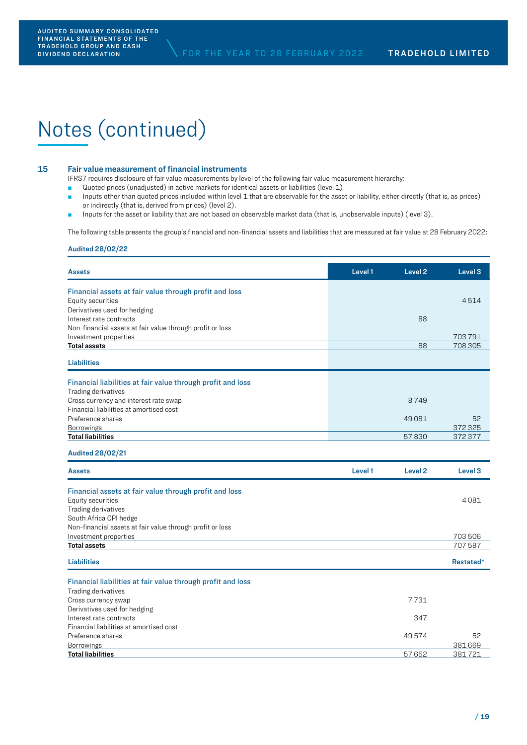### **15 Fair value measurement of financial instruments**

IFRS7 requires disclosure of fair value measurements by level of the following fair value measurement hierarchy:

- Quoted prices (unadjusted) in active markets for identical assets or liabilities (level 1).
- **Inputs other than quoted prices included within level 1 that are observable for the asset or liability, either directly (that is, as prices)** or indirectly (that is, derived from prices) (level 2).
- **Inputs for the asset or liability that are not based on observable market data (that is, unobservable inputs) (level 3).**

The following table presents the group's financial and non-financial assets and liabilities that are measured at fair value at 28 February 2022:

#### **Audited 28/02/22**

| <b>Assets</b>                                               | Level 1 | Level 2 | Level 3 |
|-------------------------------------------------------------|---------|---------|---------|
| Financial assets at fair value through profit and loss      |         |         |         |
| Equity securities                                           |         |         | 4514    |
| Derivatives used for hedging                                |         |         |         |
| Interest rate contracts                                     |         | 88      |         |
| Non-financial assets at fair value through profit or loss   |         |         |         |
| Investment properties                                       |         |         | 703791  |
| <b>Total assets</b>                                         |         | 88      | 708 305 |
| <b>Liabilities</b>                                          |         |         |         |
| Financial liabilities at fair value through profit and loss |         |         |         |
| Trading derivatives                                         |         |         |         |
| Cross currency and interest rate swap                       |         | 8749    |         |
| Financial liabilities at amortised cost                     |         |         |         |
| Preference shares                                           |         | 49081   | 52      |
| <b>Borrowings</b>                                           |         |         | 372 325 |
| Total liabilities                                           |         | 57830   | 372 377 |

# **Audited 28/02/21**

| <b>Assets</b>                                               | Level 1 | Level <sub>2</sub> | Level 3   |
|-------------------------------------------------------------|---------|--------------------|-----------|
| Financial assets at fair value through profit and loss      |         |                    |           |
| Equity securities                                           |         |                    | 4081      |
| Trading derivatives                                         |         |                    |           |
| South Africa CPI hedge                                      |         |                    |           |
| Non-financial assets at fair value through profit or loss   |         |                    |           |
| Investment properties                                       |         |                    | 703 506   |
| <b>Total assets</b>                                         |         |                    | 707587    |
| <b>Liabilities</b>                                          |         |                    | Restated* |
| Financial liabilities at fair value through profit and loss |         |                    |           |
| Trading derivatives                                         |         |                    |           |
| Cross currency swap                                         |         | 7731               |           |
| Derivatives used for hedging                                |         |                    |           |
| Interest rate contracts                                     |         | 347                |           |
| Financial liabilities at amortised cost                     |         |                    |           |
| Preference shares                                           |         | 49574              | 52        |
| <b>Borrowings</b>                                           |         |                    | 381669    |
| <b>Total liabilities</b>                                    |         | 57652              | 381721    |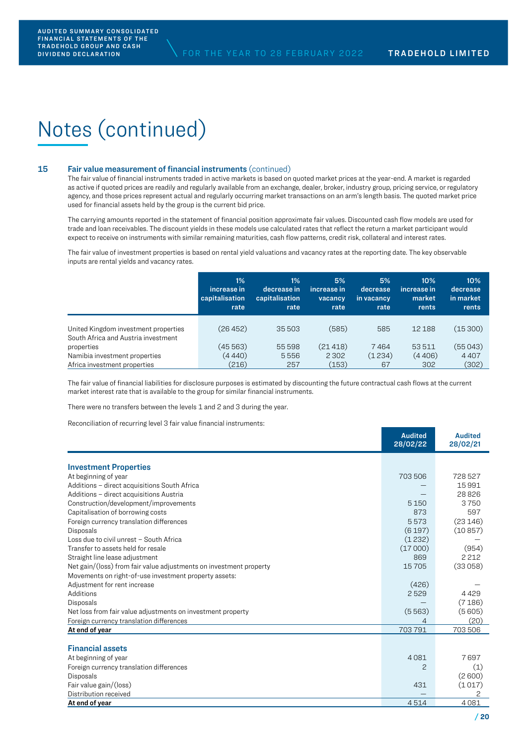### **15 Fair value measurement of financial instruments** (continued)

The fair value of financial instruments traded in active markets is based on quoted market prices at the year-end. A market is regarded as active if quoted prices are readily and regularly available from an exchange, dealer, broker, industry group, pricing service, or regulatory agency, and those prices represent actual and regularly occurring market transactions on an arm's length basis. The quoted market price used for financial assets held by the group is the current bid price.

The carrying amounts reported in the statement of financial position approximate fair values. Discounted cash flow models are used for trade and loan receivables. The discount yields in these models use calculated rates that reflect the return a market participant would expect to receive on instruments with similar remaining maturities, cash flow patterns, credit risk, collateral and interest rates.

The fair value of investment properties is based on rental yield valuations and vacancy rates at the reporting date. The key observable inputs are rental yields and vacancy rates.

|                                                   | 1%<br>increase in<br>capitalisation<br>rate | 1%<br>decrease in<br>capitalisation<br>rate | 5%<br>increase in<br>vacancy<br>rate | 5%<br>decrease<br>in vacancy<br>rate | 10%<br>increase in<br>market<br>rents | 10%<br>decrease<br>in market<br>rents |
|---------------------------------------------------|---------------------------------------------|---------------------------------------------|--------------------------------------|--------------------------------------|---------------------------------------|---------------------------------------|
| United Kingdom investment properties              | (26452)                                     | 35 503                                      | (585)                                | 585                                  | 12188                                 | (15300)                               |
| South Africa and Austria investment<br>properties | (45563)                                     | 55 598                                      | (21418)                              | 7464                                 | 53511                                 | (55043)                               |
| Namibia investment properties                     | (4 440)                                     | 5556                                        | 2 3 0 2                              | (1234)                               | (4406)                                | 4407                                  |
| Africa investment properties                      | (216)                                       | 257                                         | (153)                                | 67                                   | 302                                   | (302)                                 |

The fair value of financial liabilities for disclosure purposes is estimated by discounting the future contractual cash flows at the current market interest rate that is available to the group for similar financial instruments.

There were no transfers between the levels 1 and 2 and 3 during the year.

Reconciliation of recurring level 3 fair value financial instruments:

|                                                                    | <b>Audited</b><br>28/02/22 | <b>Audited</b><br>28/02/21 |
|--------------------------------------------------------------------|----------------------------|----------------------------|
|                                                                    |                            |                            |
| <b>Investment Properties</b>                                       |                            |                            |
| At beginning of year                                               | 703 506                    | 728 527                    |
| Additions - direct acquisitions South Africa                       |                            | 15991                      |
| Additions - direct acquisitions Austria                            |                            | 28826                      |
| Construction/development/improvements                              | 5150                       | 3750                       |
| Capitalisation of borrowing costs                                  | 873                        | 597                        |
| Foreign currency translation differences                           | 5573                       | (23146)                    |
| <b>Disposals</b>                                                   | (6197)                     | (10857)                    |
| Loss due to civil unrest - South Africa                            | (1232)                     |                            |
| Transfer to assets held for resale                                 | (17000)                    | (954)                      |
| Straight line lease adjustment                                     | 869                        | 2212                       |
| Net gain/(loss) from fair value adjustments on investment property | 15705                      | (33058)                    |
| Movements on right-of-use investment property assets:              |                            |                            |
| Adjustment for rent increase                                       | (426)                      |                            |
| Additions                                                          | 2529                       | 4429                       |
| <b>Disposals</b>                                                   |                            | (7186)                     |
| Net loss from fair value adjustments on investment property        | (5563)                     | (5605)                     |
| Foreign currency translation differences                           | 4                          | (20)                       |
| At end of year                                                     | 703791                     | 703 506                    |
|                                                                    |                            |                            |
| <b>Financial assets</b>                                            |                            |                            |
| At beginning of year                                               | 4081                       | 7697                       |
| Foreign currency translation differences                           | $\overline{c}$             | (1)                        |
| <b>Disposals</b>                                                   |                            | (2600)                     |
| Fair value gain/(loss)                                             | 431                        | (1017)                     |
| Distribution received                                              |                            |                            |
| At end of year                                                     | 4514                       | 4081                       |